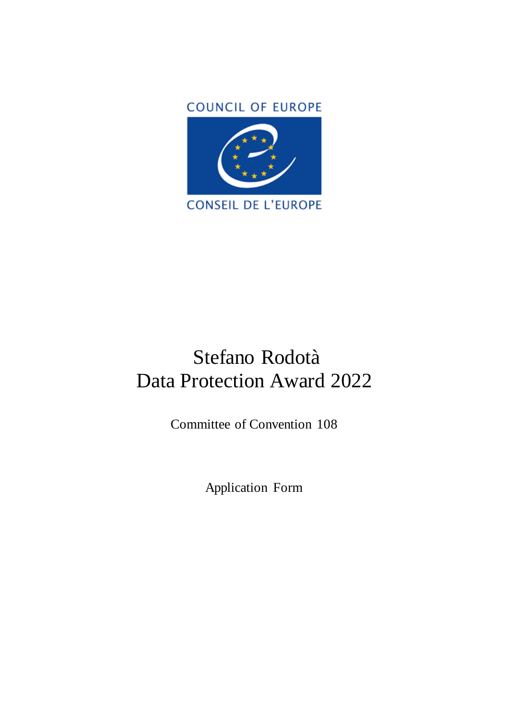

# Stefano Rodotà Data Protection Award 2022

Committee of Convention 108

Application Form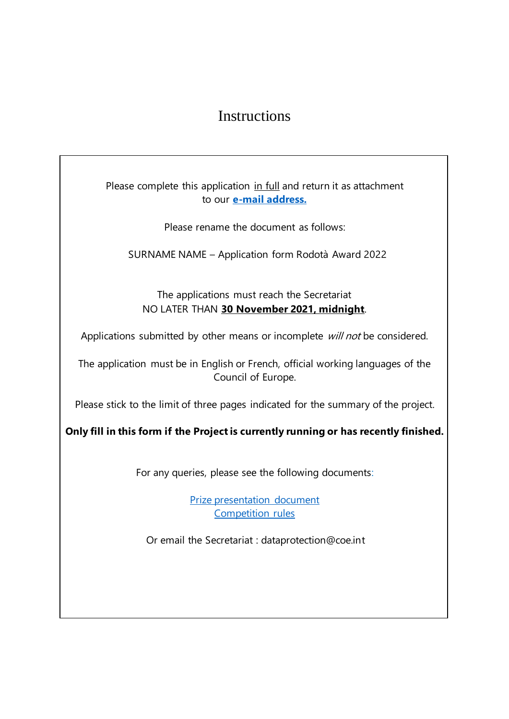## Instructions

Please complete this application in full and return it as attachment to our **[e-mail address.](mailto:dataprotection@coe.int)**

Please rename the document as follows:

SURNAME NAME – Application form Rodotà Award 2022

The applications must reach the Secretariat NO LATER THAN **30 November 2021, midnight**.

Applications submitted by other means or incomplete will not be considered.

The application must be in English or French, official working languages of the Council of Europe.

Please stick to the limit of three pages indicated for the summary of the project.

**Only fill in this form if the Project is currently running or has recently finished.**

For any queries, please see the following documents:

[Prize presentation document](https://rm.coe.int/t-pd-2017-23rev-stefano-rodota-data-protection-award-en/16808c15f6) [Competition rules](https://rm.coe.int/en-rodota-award-revised-rules-final-8-oct-2022/1680a415ac)

Or email the Secretariat : dataprotection@coe.int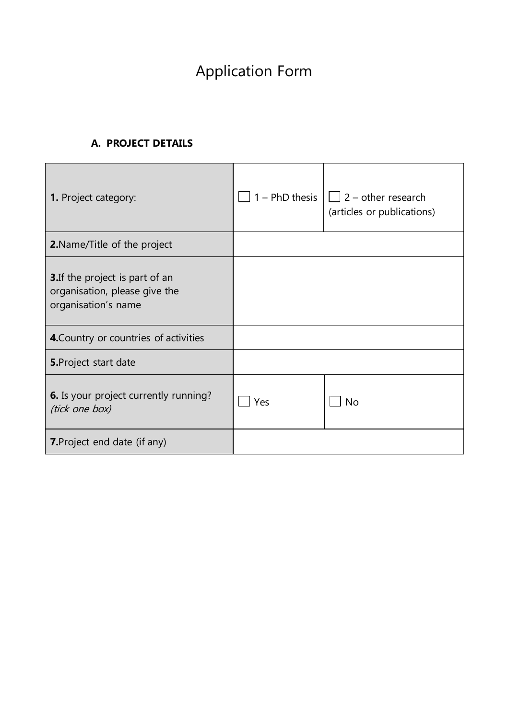# Application Form

#### **A. PROJECT DETAILS**

| 1. Project category:                                                                           |     | 1 – PhD thesis $  $ $  $ 2 – other research<br>(articles or publications) |
|------------------------------------------------------------------------------------------------|-----|---------------------------------------------------------------------------|
| 2. Name/Title of the project                                                                   |     |                                                                           |
| <b>3.</b> If the project is part of an<br>organisation, please give the<br>organisation's name |     |                                                                           |
| 4. Country or countries of activities                                                          |     |                                                                           |
| <b>5.</b> Project start date                                                                   |     |                                                                           |
| <b>6.</b> Is your project currently running?<br>(tick one box)                                 | Yes | <b>No</b>                                                                 |
| <b>7.</b> Project end date (if any)                                                            |     |                                                                           |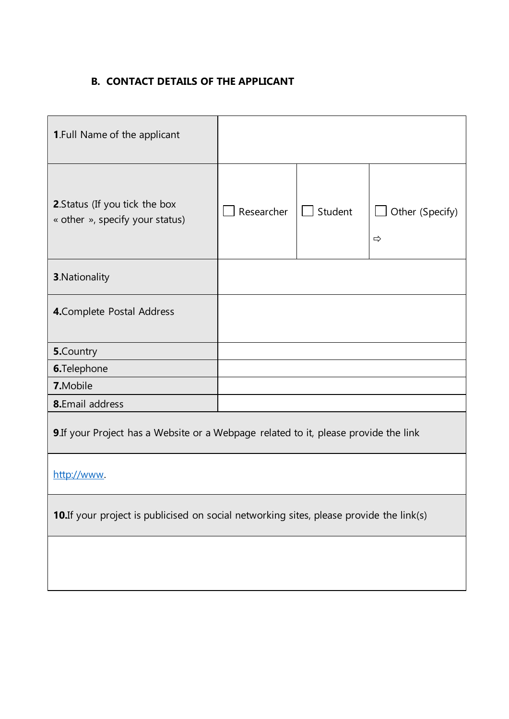### **B. CONTACT DETAILS OF THE APPLICANT**

| <b>1.Full Name of the applicant</b>                                                      |            |         |                                  |  |  |
|------------------------------------------------------------------------------------------|------------|---------|----------------------------------|--|--|
| 2. Status (If you tick the box<br>« other », specify your status)                        | Researcher | Student | Other (Specify)<br>$\Rightarrow$ |  |  |
| <b>3</b> . Nationality                                                                   |            |         |                                  |  |  |
| 4. Complete Postal Address                                                               |            |         |                                  |  |  |
| <b>5.</b> Country                                                                        |            |         |                                  |  |  |
| 6.Telephone                                                                              |            |         |                                  |  |  |
| 7.Mobile                                                                                 |            |         |                                  |  |  |
| 8.Email address                                                                          |            |         |                                  |  |  |
| 9. If your Project has a Website or a Webpage related to it, please provide the link     |            |         |                                  |  |  |
| http://www.                                                                              |            |         |                                  |  |  |
| 10. If your project is publicised on social networking sites, please provide the link(s) |            |         |                                  |  |  |
|                                                                                          |            |         |                                  |  |  |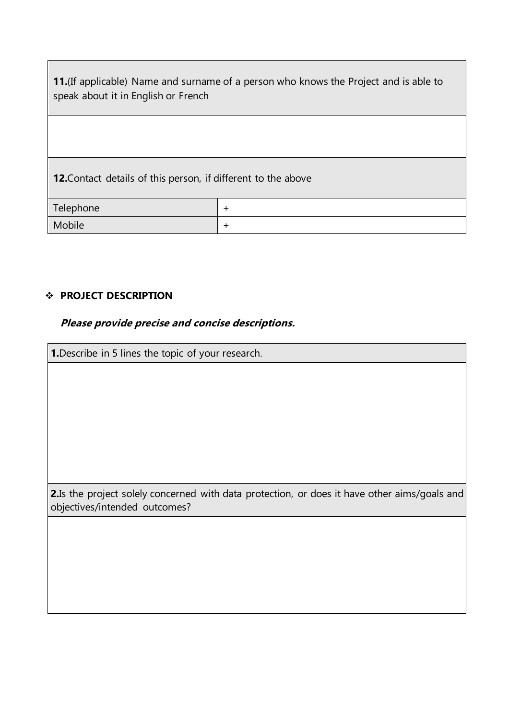**11.**(If applicable) Name and surname of a person who knows the Project and is able to speak about it in English or French

**12.**Contact details of this person, if different to the above

| Telephone |  |
|-----------|--|
| Mobile    |  |

#### **PROJECT DESCRIPTION**

#### **Please provide precise and concise descriptions.**

**1.**Describe in 5 lines the topic of your research. **2.**Is the project solely concerned with data protection, or does it have other aims/goals and objectives/intended outcomes?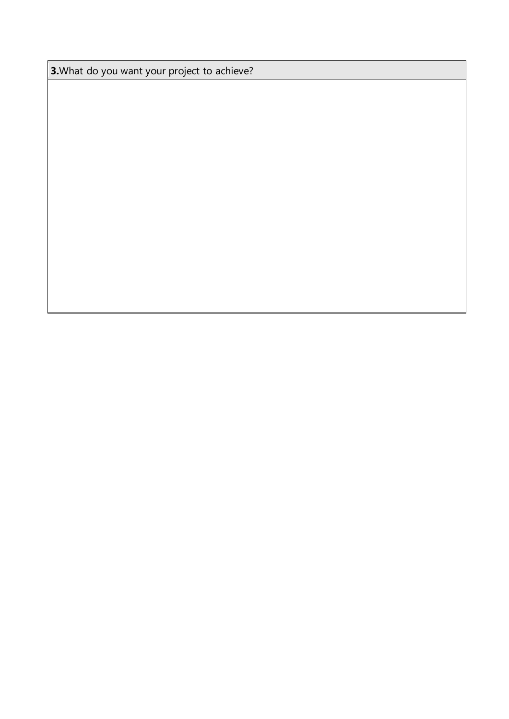**3.**What do you want your project to achieve?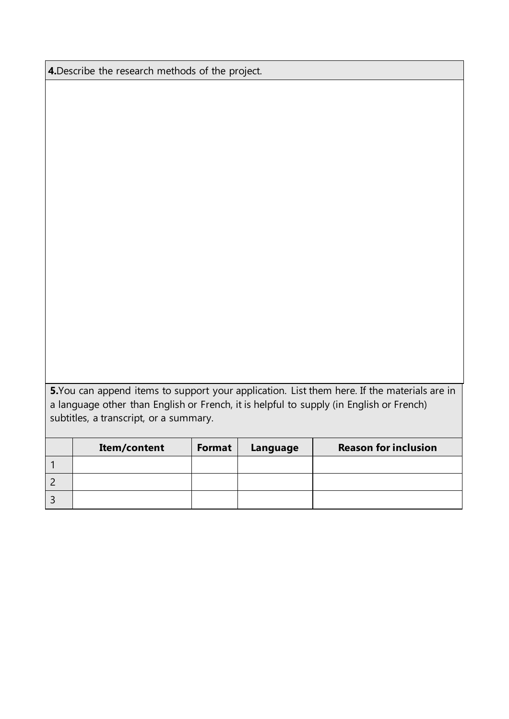**4.**Describe the research methods of the project.

**5.**You can append items to support your application. List them here. If the materials are in a language other than English or French, it is helpful to supply (in English or French) subtitles, a transcript, or a summary.

| Item/content | Format | Language | <b>Reason for inclusion</b> |
|--------------|--------|----------|-----------------------------|
|              |        |          |                             |
|              |        |          |                             |
|              |        |          |                             |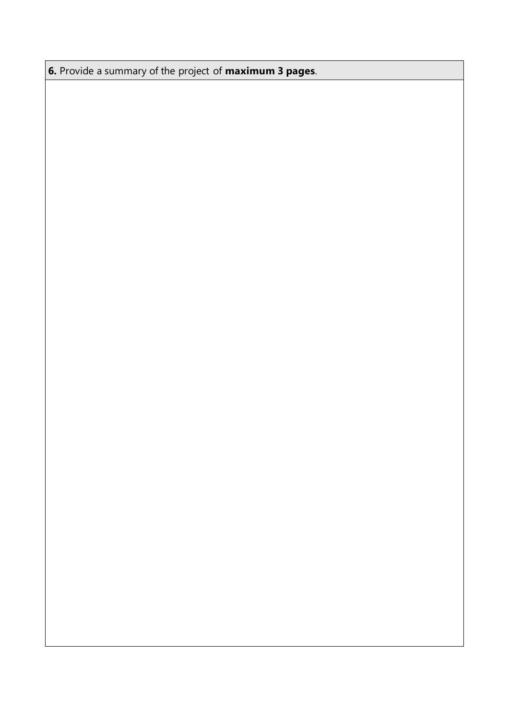**6.** Provide a summary of the project of **maximum 3 pages**.